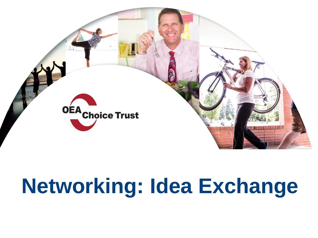

# **Networking: Idea Exchange**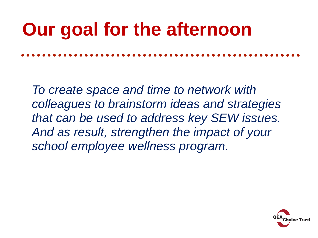## **Our goal for the afternoon**

*To create space and time to network with colleagues to brainstorm ideas and strategies that can be used to address key SEW issues. And as result, strengthen the impact of your school employee wellness program*.

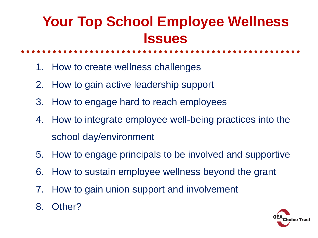#### **Your Top School Employee Wellness Issues**

- 1. How to create wellness challenges
- 2. How to gain active leadership support
- 3. How to engage hard to reach employees
- 4. How to integrate employee well-being practices into the school day/environment
- 5. How to engage principals to be involved and supportive
- 6. How to sustain employee wellness beyond the grant
- 7. How to gain union support and involvement
- 8. Other?

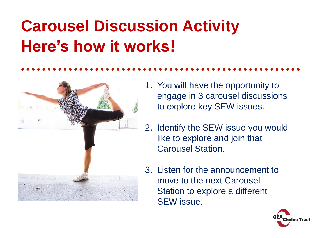### **Carousel Discussion Activity Here's how it works!**



- 1. You will have the opportunity to engage in 3 carousel discussions to explore key SEW issues.
- 2. Identify the SEW issue you would like to explore and join that Carousel Station.
- 3. Listen for the announcement to move to the next Carousel Station to explore a different SEW issue.

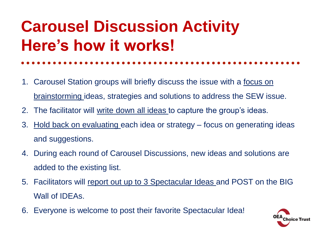#### **Carousel Discussion Activity Here's how it works!**

- 1. Carousel Station groups will briefly discuss the issue with a focus on brainstorming ideas, strategies and solutions to address the SEW issue.
- 2. The facilitator will write down all ideas to capture the group's ideas.
- 3. Hold back on evaluating each idea or strategy focus on generating ideas and suggestions.
- 4. During each round of Carousel Discussions, new ideas and solutions are added to the existing list.
- 5. Facilitators will report out up to 3 Spectacular Ideas and POST on the BIG Wall of IDEAs.
- 6. Everyone is welcome to post their favorite Spectacular Idea!

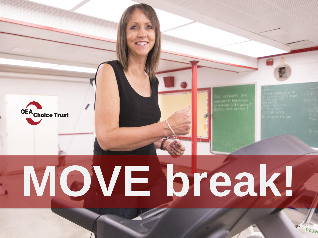